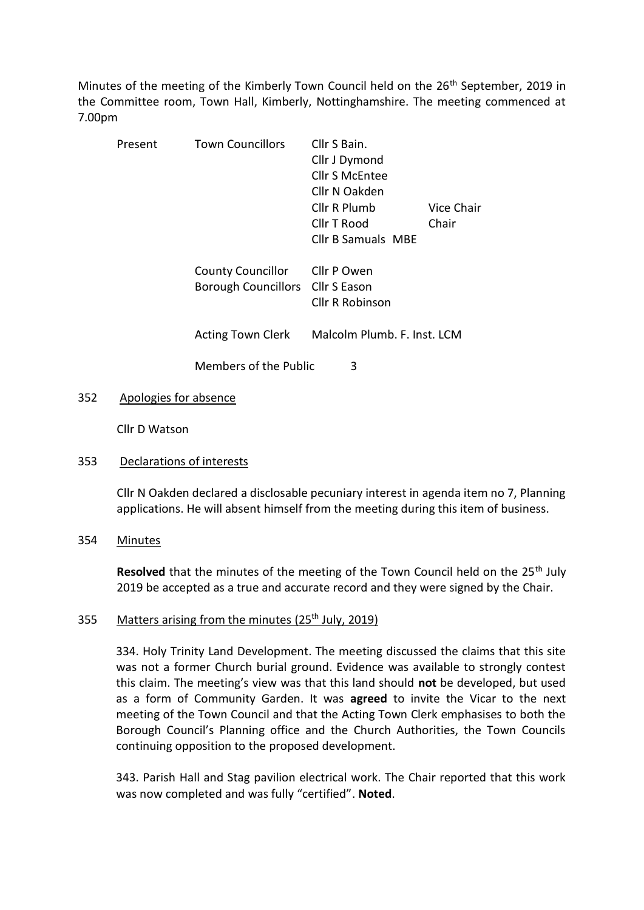Minutes of the meeting of the Kimberly Town Council held on the 26<sup>th</sup> September, 2019 in the Committee room, Town Hall, Kimberly, Nottinghamshire. The meeting commenced at 7.00pm

| Present | <b>Town Councillors</b>                                      | Cllr S Bain.<br>Cllr J Dymond<br><b>Cllr S McEntee</b><br>Cllr N Oakden<br>Cllr R Plumb | Vice Chair |
|---------|--------------------------------------------------------------|-----------------------------------------------------------------------------------------|------------|
|         |                                                              | Cllr T Rood<br><b>Cllr B Samuals MBE</b>                                                | Chair      |
|         | <b>County Councillor</b><br>Borough Councillors Cllr S Eason | Cllr P Owen<br><b>Cllr R Robinson</b>                                                   |            |
|         | <b>Acting Town Clerk</b>                                     | Malcolm Plumb, F. Inst. LCM                                                             |            |
|         | Members of the Public                                        | 3                                                                                       |            |

## 352 Apologies for absence

Cllr D Watson

## 353 Declarations of interests

Cllr N Oakden declared a disclosable pecuniary interest in agenda item no 7, Planning applications. He will absent himself from the meeting during this item of business.

#### 354 Minutes

**Resolved** that the minutes of the meeting of the Town Council held on the 25<sup>th</sup> July 2019 be accepted as a true and accurate record and they were signed by the Chair.

## 355 Matters arising from the minutes (25<sup>th</sup> July, 2019)

334. Holy Trinity Land Development. The meeting discussed the claims that this site was not a former Church burial ground. Evidence was available to strongly contest this claim. The meeting's view was that this land should **not** be developed, but used as a form of Community Garden. It was **agreed** to invite the Vicar to the next meeting of the Town Council and that the Acting Town Clerk emphasises to both the Borough Council's Planning office and the Church Authorities, the Town Councils continuing opposition to the proposed development.

343. Parish Hall and Stag pavilion electrical work. The Chair reported that this work was now completed and was fully "certified". **Noted**.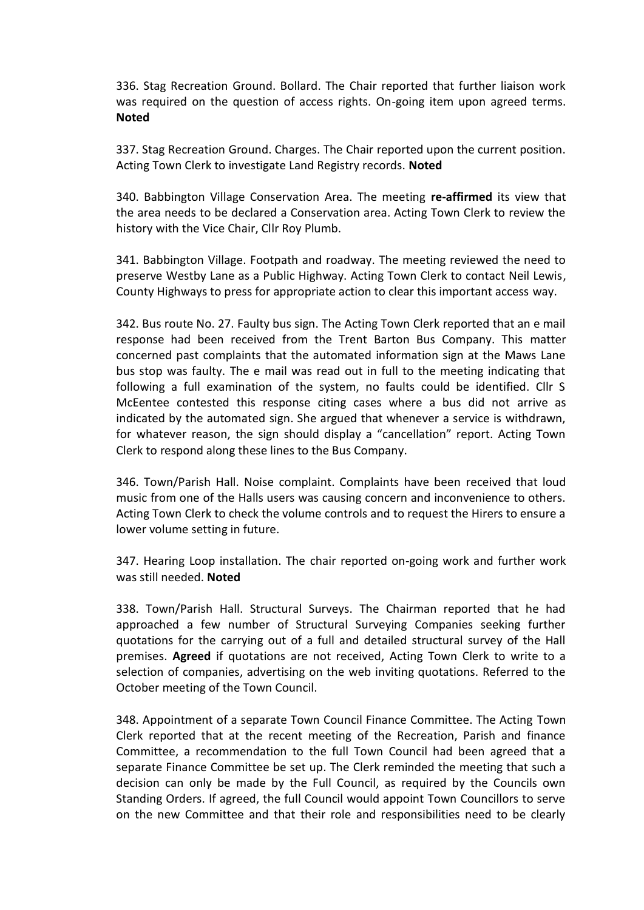336. Stag Recreation Ground. Bollard. The Chair reported that further liaison work was required on the question of access rights. On-going item upon agreed terms. **Noted**

337. Stag Recreation Ground. Charges. The Chair reported upon the current position. Acting Town Clerk to investigate Land Registry records. **Noted**

340. Babbington Village Conservation Area. The meeting **re-affirmed** its view that the area needs to be declared a Conservation area. Acting Town Clerk to review the history with the Vice Chair, Cllr Roy Plumb.

341. Babbington Village. Footpath and roadway. The meeting reviewed the need to preserve Westby Lane as a Public Highway. Acting Town Clerk to contact Neil Lewis, County Highways to press for appropriate action to clear this important access way.

342. Bus route No. 27. Faulty bus sign. The Acting Town Clerk reported that an e mail response had been received from the Trent Barton Bus Company. This matter concerned past complaints that the automated information sign at the Maws Lane bus stop was faulty. The e mail was read out in full to the meeting indicating that following a full examination of the system, no faults could be identified. Cllr S McEentee contested this response citing cases where a bus did not arrive as indicated by the automated sign. She argued that whenever a service is withdrawn, for whatever reason, the sign should display a "cancellation" report. Acting Town Clerk to respond along these lines to the Bus Company.

346. Town/Parish Hall. Noise complaint. Complaints have been received that loud music from one of the Halls users was causing concern and inconvenience to others. Acting Town Clerk to check the volume controls and to request the Hirers to ensure a lower volume setting in future.

347. Hearing Loop installation. The chair reported on-going work and further work was still needed. **Noted**

338. Town/Parish Hall. Structural Surveys. The Chairman reported that he had approached a few number of Structural Surveying Companies seeking further quotations for the carrying out of a full and detailed structural survey of the Hall premises. **Agreed** if quotations are not received, Acting Town Clerk to write to a selection of companies, advertising on the web inviting quotations. Referred to the October meeting of the Town Council.

348. Appointment of a separate Town Council Finance Committee. The Acting Town Clerk reported that at the recent meeting of the Recreation, Parish and finance Committee, a recommendation to the full Town Council had been agreed that a separate Finance Committee be set up. The Clerk reminded the meeting that such a decision can only be made by the Full Council, as required by the Councils own Standing Orders. If agreed, the full Council would appoint Town Councillors to serve on the new Committee and that their role and responsibilities need to be clearly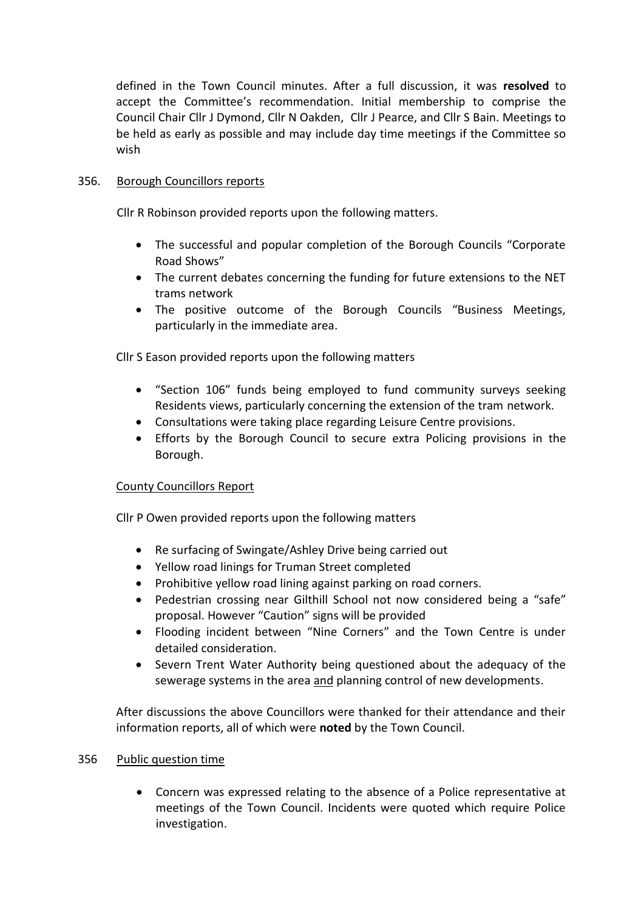defined in the Town Council minutes. After a full discussion, it was **resolved** to accept the Committee's recommendation. Initial membership to comprise the Council Chair Cllr J Dymond, Cllr N Oakden, Cllr J Pearce, and Cllr S Bain. Meetings to be held as early as possible and may include day time meetings if the Committee so wish

## 356. Borough Councillors reports

Cllr R Robinson provided reports upon the following matters.

- The successful and popular completion of the Borough Councils "Corporate Road Shows"
- The current debates concerning the funding for future extensions to the NET trams network
- The positive outcome of the Borough Councils "Business Meetings, particularly in the immediate area.

Cllr S Eason provided reports upon the following matters

- "Section 106" funds being employed to fund community surveys seeking Residents views, particularly concerning the extension of the tram network.
- Consultations were taking place regarding Leisure Centre provisions.
- Efforts by the Borough Council to secure extra Policing provisions in the Borough.

## County Councillors Report

Cllr P Owen provided reports upon the following matters

- Re surfacing of Swingate/Ashley Drive being carried out
- Yellow road linings for Truman Street completed
- Prohibitive yellow road lining against parking on road corners.
- Pedestrian crossing near Gilthill School not now considered being a "safe" proposal. However "Caution" signs will be provided
- Flooding incident between "Nine Corners" and the Town Centre is under detailed consideration.
- Severn Trent Water Authority being questioned about the adequacy of the sewerage systems in the area and planning control of new developments.

After discussions the above Councillors were thanked for their attendance and their information reports, all of which were **noted** by the Town Council.

## 356 Public question time

• Concern was expressed relating to the absence of a Police representative at meetings of the Town Council. Incidents were quoted which require Police investigation.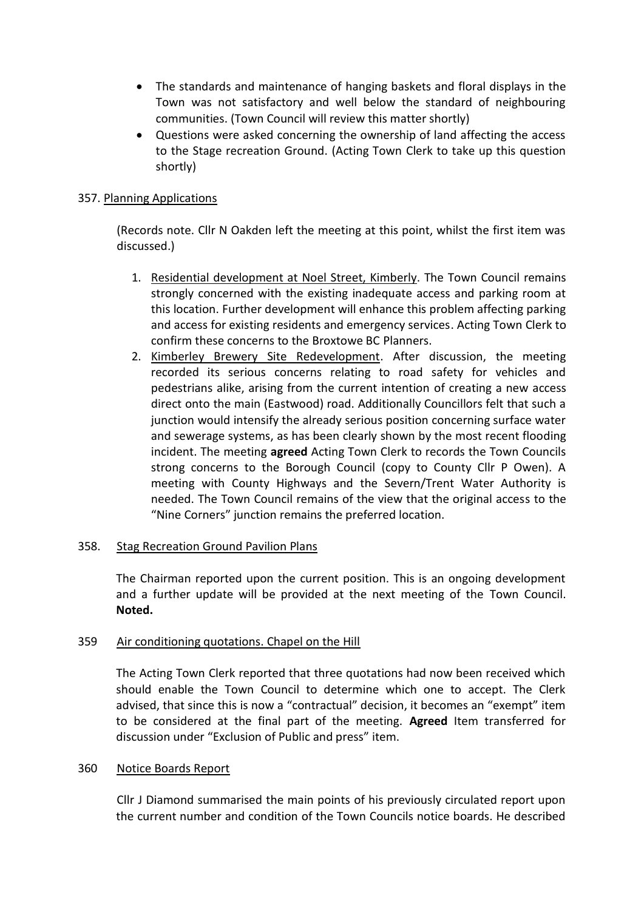- The standards and maintenance of hanging baskets and floral displays in the Town was not satisfactory and well below the standard of neighbouring communities. (Town Council will review this matter shortly)
- Questions were asked concerning the ownership of land affecting the access to the Stage recreation Ground. (Acting Town Clerk to take up this question shortly)

# 357. Planning Applications

(Records note. Cllr N Oakden left the meeting at this point, whilst the first item was discussed.)

- 1. Residential development at Noel Street, Kimberly. The Town Council remains strongly concerned with the existing inadequate access and parking room at this location. Further development will enhance this problem affecting parking and access for existing residents and emergency services. Acting Town Clerk to confirm these concerns to the Broxtowe BC Planners.
- 2. Kimberley Brewery Site Redevelopment. After discussion, the meeting recorded its serious concerns relating to road safety for vehicles and pedestrians alike, arising from the current intention of creating a new access direct onto the main (Eastwood) road. Additionally Councillors felt that such a junction would intensify the already serious position concerning surface water and sewerage systems, as has been clearly shown by the most recent flooding incident. The meeting **agreed** Acting Town Clerk to records the Town Councils strong concerns to the Borough Council (copy to County Cllr P Owen). A meeting with County Highways and the Severn/Trent Water Authority is needed. The Town Council remains of the view that the original access to the "Nine Corners" junction remains the preferred location.

## 358. Stag Recreation Ground Pavilion Plans

The Chairman reported upon the current position. This is an ongoing development and a further update will be provided at the next meeting of the Town Council. **Noted.**

## 359 Air conditioning quotations. Chapel on the Hill

The Acting Town Clerk reported that three quotations had now been received which should enable the Town Council to determine which one to accept. The Clerk advised, that since this is now a "contractual" decision, it becomes an "exempt" item to be considered at the final part of the meeting. **Agreed** Item transferred for discussion under "Exclusion of Public and press" item.

#### 360 Notice Boards Report

Cllr J Diamond summarised the main points of his previously circulated report upon the current number and condition of the Town Councils notice boards. He described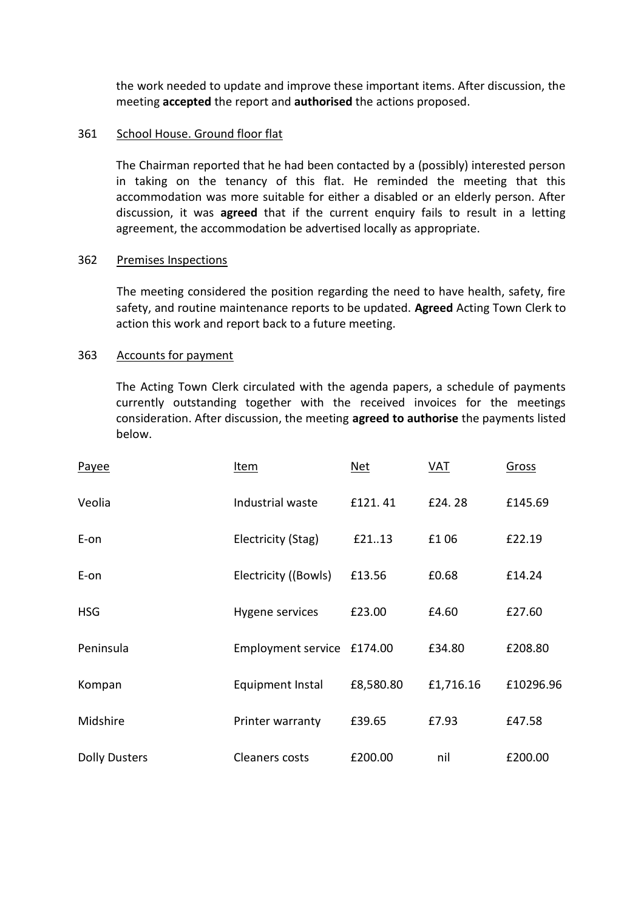the work needed to update and improve these important items. After discussion, the meeting **accepted** the report and **authorised** the actions proposed.

### 361 School House. Ground floor flat

The Chairman reported that he had been contacted by a (possibly) interested person in taking on the tenancy of this flat. He reminded the meeting that this accommodation was more suitable for either a disabled or an elderly person. After discussion, it was **agreed** that if the current enquiry fails to result in a letting agreement, the accommodation be advertised locally as appropriate.

### 362 Premises Inspections

The meeting considered the position regarding the need to have health, safety, fire safety, and routine maintenance reports to be updated. **Agreed** Acting Town Clerk to action this work and report back to a future meeting.

### 363 Accounts for payment

The Acting Town Clerk circulated with the agenda papers, a schedule of payments currently outstanding together with the received invoices for the meetings consideration. After discussion, the meeting **agreed to authorise** the payments listed below.

| Payee                | Item                       | Net       | VAT       | Gross     |
|----------------------|----------------------------|-----------|-----------|-----------|
| Veolia               | Industrial waste           | £121.41   | £24.28    | £145.69   |
| E-on                 | Electricity (Stag)         | £2113     | £106      | £22.19    |
| E-on                 | Electricity ((Bowls)       | £13.56    | £0.68     | £14.24    |
| <b>HSG</b>           | Hygene services            | £23.00    | £4.60     | £27.60    |
| Peninsula            | Employment service £174.00 |           | £34.80    | £208.80   |
| Kompan               | Equipment Instal           | £8,580.80 | £1,716.16 | £10296.96 |
| Midshire             | Printer warranty           | £39.65    | £7.93     | £47.58    |
| <b>Dolly Dusters</b> | <b>Cleaners costs</b>      | £200.00   | nil       | £200.00   |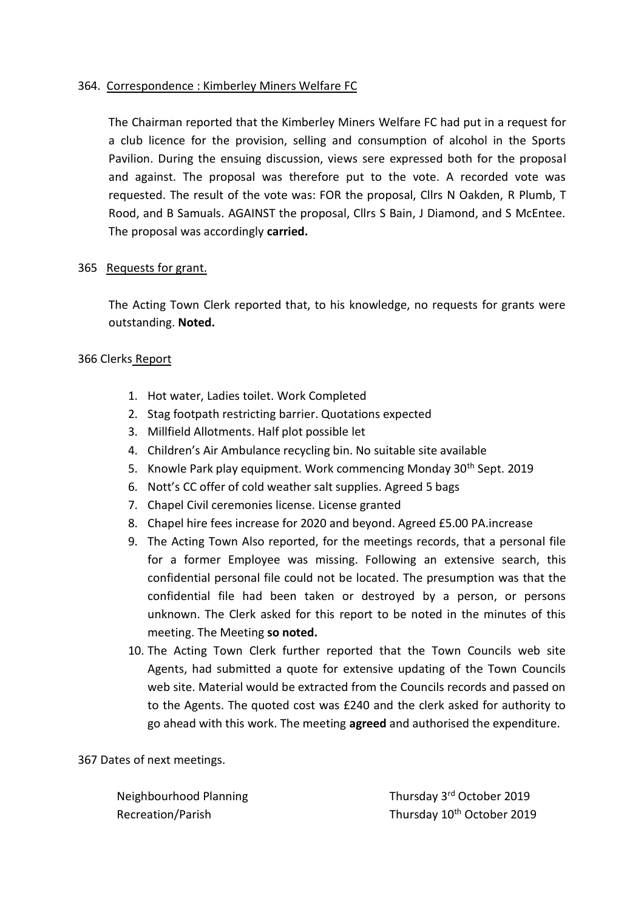## 364. Correspondence : Kimberley Miners Welfare FC

The Chairman reported that the Kimberley Miners Welfare FC had put in a request for a club licence for the provision, selling and consumption of alcohol in the Sports Pavilion. During the ensuing discussion, views sere expressed both for the proposal and against. The proposal was therefore put to the vote. A recorded vote was requested. The result of the vote was: FOR the proposal, Cllrs N Oakden, R Plumb, T Rood, and B Samuals. AGAINST the proposal, Cllrs S Bain, J Diamond, and S McEntee. The proposal was accordingly **carried.**

## 365 Requests for grant.

The Acting Town Clerk reported that, to his knowledge, no requests for grants were outstanding. **Noted.**

# 366 Clerks Report

- 1. Hot water, Ladies toilet. Work Completed
- 2. Stag footpath restricting barrier. Quotations expected
- 3. Millfield Allotments. Half plot possible let
- 4. Children's Air Ambulance recycling bin. No suitable site available
- 5. Knowle Park play equipment. Work commencing Monday 30<sup>th</sup> Sept. 2019
- 6. Nott's CC offer of cold weather salt supplies. Agreed 5 bags
- 7. Chapel Civil ceremonies license. License granted
- 8. Chapel hire fees increase for 2020 and beyond. Agreed £5.00 PA.increase
- 9. The Acting Town Also reported, for the meetings records, that a personal file for a former Employee was missing. Following an extensive search, this confidential personal file could not be located. The presumption was that the confidential file had been taken or destroyed by a person, or persons unknown. The Clerk asked for this report to be noted in the minutes of this meeting. The Meeting **so noted.**
- 10. The Acting Town Clerk further reported that the Town Councils web site Agents, had submitted a quote for extensive updating of the Town Councils web site. Material would be extracted from the Councils records and passed on to the Agents. The quoted cost was £240 and the clerk asked for authority to go ahead with this work. The meeting **agreed** and authorised the expenditure.

# 367 Dates of next meetings.

Neighbourhood Planning Thursday 3<sup>rd</sup> October 2019 Recreation/Parish Thursday 10<sup>th</sup> October 2019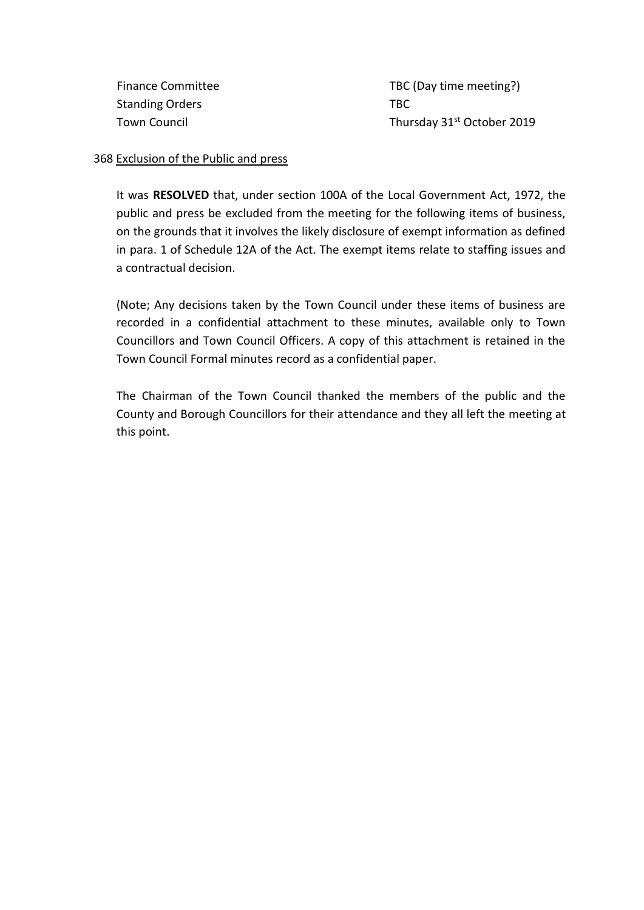Standing Orders TBC

Finance Committee TBC (Day time meeting?) Town Council **Thursday 31st October 2019** 

### 368 Exclusion of the Public and press

It was **RESOLVED** that, under section 100A of the Local Government Act, 1972, the public and press be excluded from the meeting for the following items of business, on the grounds that it involves the likely disclosure of exempt information as defined in para. 1 of Schedule 12A of the Act. The exempt items relate to staffing issues and a contractual decision.

(Note; Any decisions taken by the Town Council under these items of business are recorded in a confidential attachment to these minutes, available only to Town Councillors and Town Council Officers. A copy of this attachment is retained in the Town Council Formal minutes record as a confidential paper.

The Chairman of the Town Council thanked the members of the public and the County and Borough Councillors for their attendance and they all left the meeting at this point.